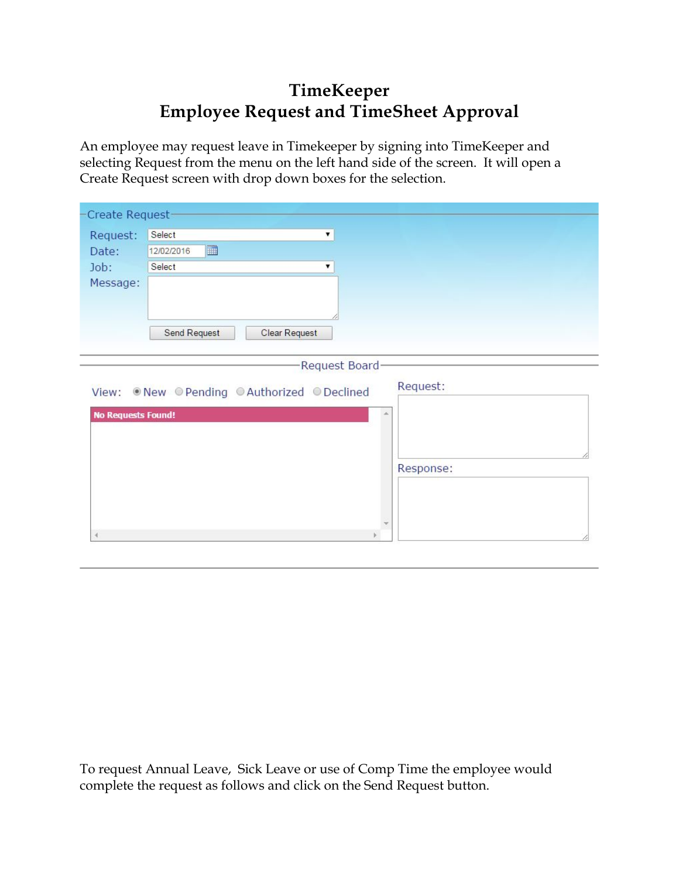## **TimeKeeper Employee Request and TimeSheet Approval**

An employee may request leave in Timekeeper by signing into TimeKeeper and selecting Request from the menu on the left hand side of the screen. It will open a Create Request screen with drop down boxes for the selection.

| -Create Request-          |                                                     |  |
|---------------------------|-----------------------------------------------------|--|
| Request:                  | Select<br>۷.                                        |  |
| Date:                     | H<br>12/02/2016                                     |  |
| Job:                      | Select<br>۷.                                        |  |
| Message:                  |                                                     |  |
|                           | Send Request<br>Clear Request                       |  |
|                           | Request Board                                       |  |
| View:                     | Request:<br>. New © Pending © Authorized © Declined |  |
| <b>No Requests Found!</b> |                                                     |  |
|                           |                                                     |  |
|                           | Response:                                           |  |
|                           |                                                     |  |
|                           |                                                     |  |
| $\overline{\phantom{a}}$  |                                                     |  |

To request Annual Leave, Sick Leave or use of Comp Time the employee would complete the request as follows and click on the Send Request button.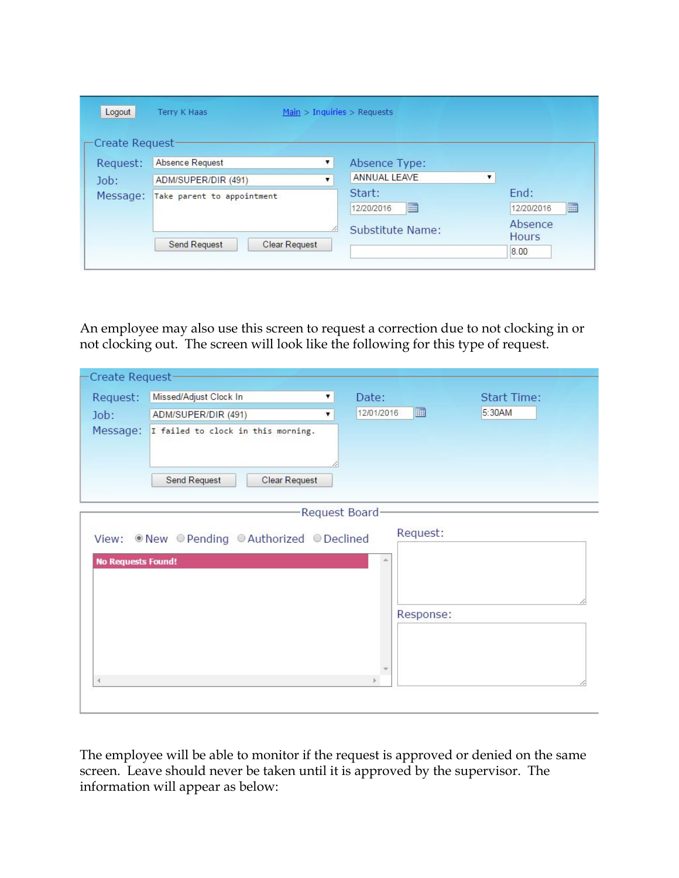| Logout           | <b>Terry K Haas</b>                         | Main $>$ Inquiries $>$ Requests |                         |
|------------------|---------------------------------------------|---------------------------------|-------------------------|
| -Create Request- |                                             |                                 |                         |
| Request:         | Absence Request<br>۷.                       | Absence Type:                   |                         |
| Job:             | ADM/SUPER/DIR (491)<br>▼                    | ANNUAL LEAVE                    |                         |
| Message:         | Take parent to appointment                  | Start:<br>m<br>12/20/2016       | End:<br>m<br>12/20/2016 |
|                  | 4                                           | Substitute Name:                | Absence<br><b>Hours</b> |
|                  | <b>Send Request</b><br><b>Clear Request</b> |                                 | 8.00                    |

An employee may also use this screen to request a correction due to not clocking in or not clocking out. The screen will look like the following for this type of request.

| Create Request-           |                                             |                 |                    |
|---------------------------|---------------------------------------------|-----------------|--------------------|
| Request:                  | Missed/Adjust Clock In<br>▼.                | Date:           | <b>Start Time:</b> |
| Job:                      | ADM/SUPER/DIR (491)<br>۷                    | ▦<br>12/01/2016 | 5:30AM             |
|                           | Message: I failed to clock in this morning. |                 |                    |
|                           | <b>Send Request</b><br>Clear Request        |                 |                    |
|                           |                                             | Request Board   |                    |
|                           | View: New Pending @Authorized @Declined     | Request:        |                    |
| <b>No Requests Found!</b> |                                             |                 |                    |
|                           |                                             |                 |                    |
|                           |                                             | Response:       |                    |
|                           |                                             |                 |                    |
|                           |                                             |                 |                    |

The employee will be able to monitor if the request is approved or denied on the same screen. Leave should never be taken until it is approved by the supervisor. The information will appear as below: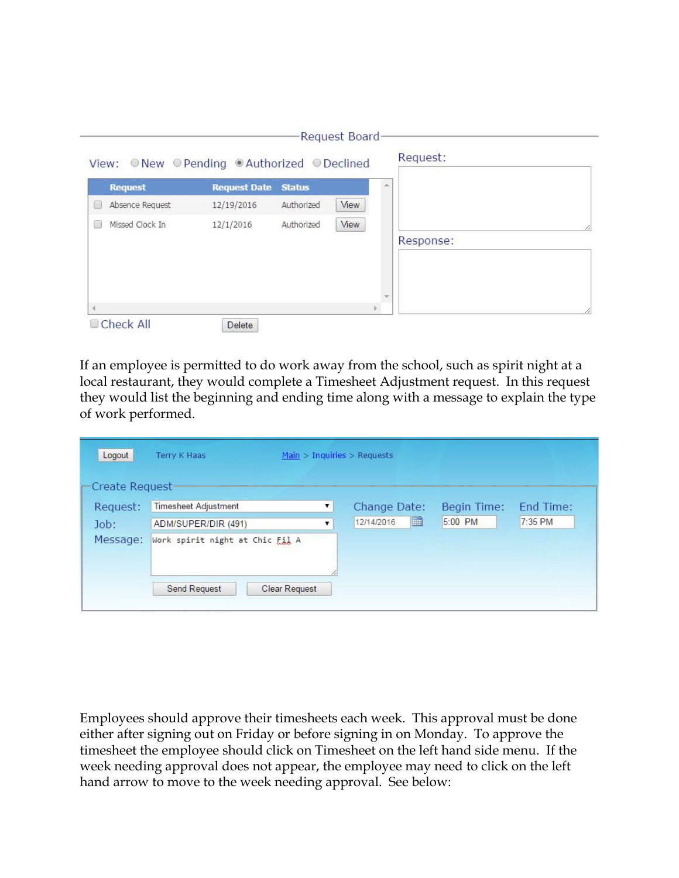| <b>Request</b>       | <b>Request Date</b> | <b>Status</b> |      |           |
|----------------------|---------------------|---------------|------|-----------|
| Absence Request      | 12/19/2016          | Authorized    | View |           |
| Missed Clock In<br>× | 12/1/2016           | Authorized    | View |           |
|                      |                     |               |      | Response: |
|                      |                     |               |      |           |
|                      |                     |               |      |           |
|                      |                     |               |      |           |

If an employee is permitted to do work away from the school, such as spirit night at a local restaurant, they would complete a Timesheet Adjustment request. In this request they would list the beginning and ending time along with a message to explain the type of work performed.

| Logout          | Terry K Haas                    | Main > Inquiries > Requests |                 |             |           |
|-----------------|---------------------------------|-----------------------------|-----------------|-------------|-----------|
| Create Request- |                                 |                             |                 |             |           |
| Request:        | <b>Timesheet Adjustment</b>     | ▼.                          | Change Date:    | Begin Time: | End Time: |
| Job:            | ADM/SUPER/DIR (491)             | ▼.                          | Ħ<br>12/14/2016 | 5:00 PM     | 7:35 PM   |
| Message:        | Work spirit night at Chic Fil A |                             |                 |             |           |
|                 | <b>Send Request</b>             | <b>Clear Request</b>        |                 |             |           |

Employees should approve their timesheets each week. This approval must be done either after signing out on Friday or before signing in on Monday. To approve the timesheet the employee should click on Timesheet on the left hand side menu. If the week needing approval does not appear, the employee may need to click on the left hand arrow to move to the week needing approval. See below: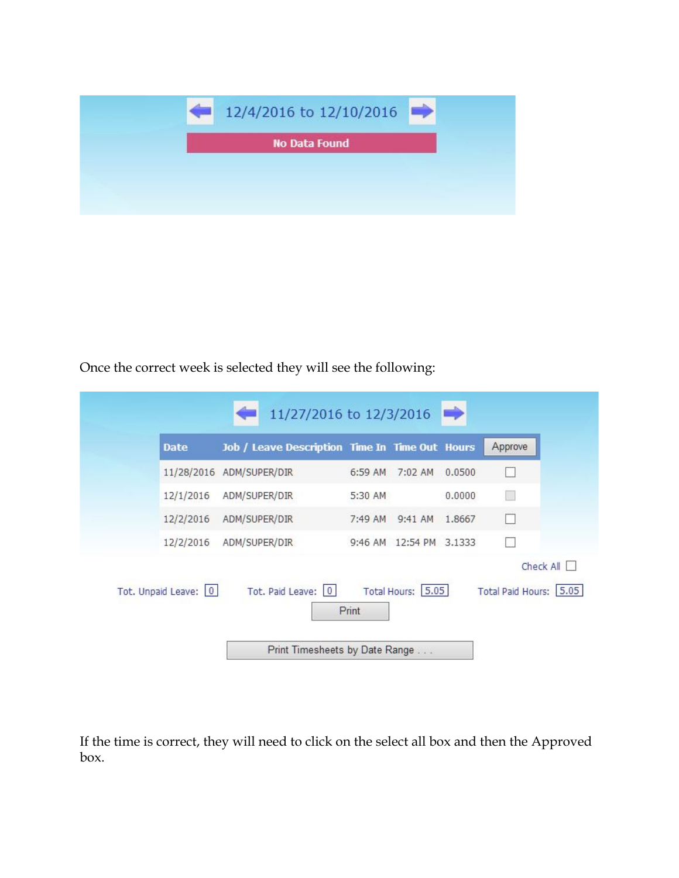

Once the correct week is selected they will see the following:

| <b>Date</b>          | Job / Leave Description Time In Time Out Hours |         |                         |        | Approve                             |
|----------------------|------------------------------------------------|---------|-------------------------|--------|-------------------------------------|
| 11/28/2016           | ADM/SUPER/DIR                                  | 6:59 AM | $7:02$ AM               | 0.0500 | BB.                                 |
| 12/1/2016            | ADM/SUPER/DIR                                  | 5:30 AM |                         | 0.0000 |                                     |
| 12/2/2016            | ADM/SUPER/DIR                                  | 7:49 AM | 9:41 AM 1.8667          |        | H                                   |
| 12/2/2016            | ADM/SUPER/DIR                                  |         | 9:46 AM 12:54 PM 3.1333 |        |                                     |
| Tot. Unpaid Leave: 0 | Tot. Paid Leave: 0                             | Print   | Total Hours: 5.05       |        | Check All<br>Total Paid Hours: 5.05 |

If the time is correct, they will need to click on the select all box and then the Approved box.